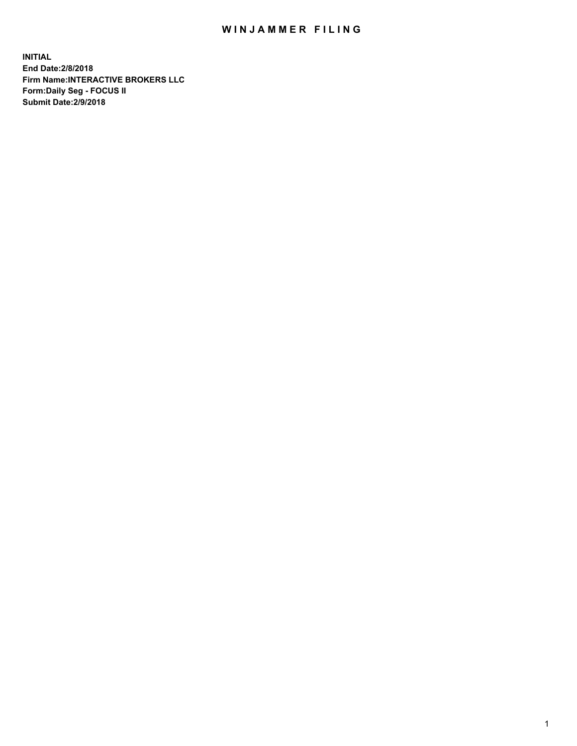## WIN JAMMER FILING

**INITIAL End Date:2/8/2018 Firm Name:INTERACTIVE BROKERS LLC Form:Daily Seg - FOCUS II Submit Date:2/9/2018**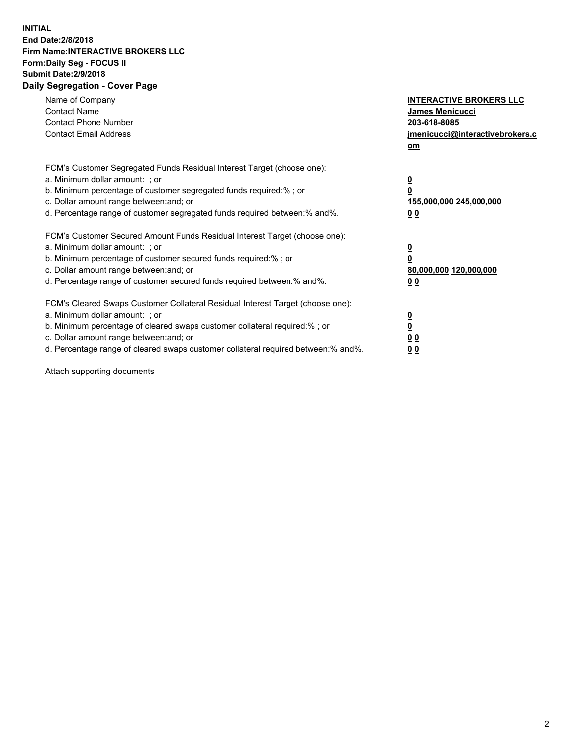## **INITIAL End Date:2/8/2018 Firm Name:INTERACTIVE BROKERS LLC Form:Daily Seg - FOCUS II Submit Date:2/9/2018 Daily Segregation - Cover Page**

| Name of Company<br><b>Contact Name</b><br><b>Contact Phone Number</b><br><b>Contact Email Address</b>                                                                                                                                                                                                                          | <b>INTERACTIVE BROKERS LLC</b><br><b>James Menicucci</b><br>203-618-8085<br>jmenicucci@interactivebrokers.c<br>om |
|--------------------------------------------------------------------------------------------------------------------------------------------------------------------------------------------------------------------------------------------------------------------------------------------------------------------------------|-------------------------------------------------------------------------------------------------------------------|
| FCM's Customer Segregated Funds Residual Interest Target (choose one):<br>a. Minimum dollar amount: ; or<br>b. Minimum percentage of customer segregated funds required:% ; or<br>c. Dollar amount range between: and; or<br>d. Percentage range of customer segregated funds required between: % and %.                       | $\overline{\mathbf{0}}$<br>0<br>155,000,000 245,000,000<br>00                                                     |
| FCM's Customer Secured Amount Funds Residual Interest Target (choose one):<br>a. Minimum dollar amount: ; or<br>b. Minimum percentage of customer secured funds required:%; or<br>c. Dollar amount range between: and; or<br>d. Percentage range of customer secured funds required between: % and %.                          | $\overline{\mathbf{0}}$<br>0<br>80,000,000 120,000,000<br>0 <sub>0</sub>                                          |
| FCM's Cleared Swaps Customer Collateral Residual Interest Target (choose one):<br>a. Minimum dollar amount: ; or<br>b. Minimum percentage of cleared swaps customer collateral required:% ; or<br>c. Dollar amount range between: and; or<br>d. Percentage range of cleared swaps customer collateral required between:% and%. | $\overline{\mathbf{0}}$<br>$\underline{\mathbf{0}}$<br>0 <sub>0</sub><br>0 <sub>0</sub>                           |

Attach supporting documents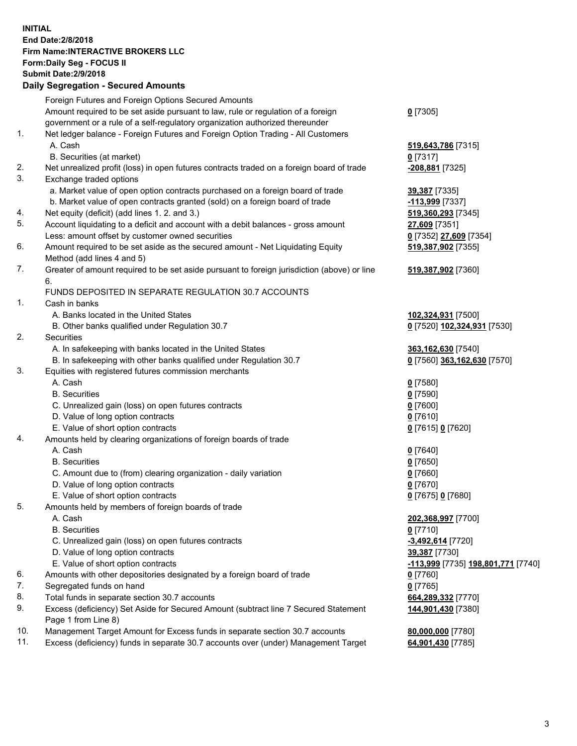## **INITIAL End Date:2/8/2018 Firm Name:INTERACTIVE BROKERS LLC Form:Daily Seg - FOCUS II Submit Date:2/9/2018 Daily Segregation - Secured Amounts**

|                  | Dany Ocgregation - Oceanea Amounts                                                          |                                    |
|------------------|---------------------------------------------------------------------------------------------|------------------------------------|
|                  | Foreign Futures and Foreign Options Secured Amounts                                         |                                    |
|                  | Amount required to be set aside pursuant to law, rule or regulation of a foreign            | $0$ [7305]                         |
|                  | government or a rule of a self-regulatory organization authorized thereunder                |                                    |
| 1.               | Net ledger balance - Foreign Futures and Foreign Option Trading - All Customers             |                                    |
|                  | A. Cash                                                                                     | 519,643,786 [7315]                 |
|                  | B. Securities (at market)                                                                   | $0$ [7317]                         |
| 2.               | Net unrealized profit (loss) in open futures contracts traded on a foreign board of trade   | -208,881 [7325]                    |
| 3.               | Exchange traded options                                                                     |                                    |
|                  | a. Market value of open option contracts purchased on a foreign board of trade              | 39,387 [7335]                      |
|                  | b. Market value of open contracts granted (sold) on a foreign board of trade                | -113,999 [7337]                    |
| 4.               | Net equity (deficit) (add lines 1.2. and 3.)                                                | 519,360,293 [7345]                 |
| 5.               | Account liquidating to a deficit and account with a debit balances - gross amount           | 27,609 [7351]                      |
|                  | Less: amount offset by customer owned securities                                            | 0 [7352] 27,609 [7354]             |
| 6.               | Amount required to be set aside as the secured amount - Net Liquidating Equity              | 519,387,902 [7355]                 |
|                  | Method (add lines 4 and 5)                                                                  |                                    |
| 7.               | Greater of amount required to be set aside pursuant to foreign jurisdiction (above) or line | 519,387,902 [7360]                 |
|                  | 6.                                                                                          |                                    |
|                  | FUNDS DEPOSITED IN SEPARATE REGULATION 30.7 ACCOUNTS                                        |                                    |
| 1.               | Cash in banks                                                                               |                                    |
|                  | A. Banks located in the United States                                                       | 102,324,931 [7500]                 |
|                  | B. Other banks qualified under Regulation 30.7                                              | 0 [7520] 102,324,931 [7530]        |
| 2.               | Securities                                                                                  |                                    |
|                  | A. In safekeeping with banks located in the United States                                   | 363,162,630 [7540]                 |
|                  | B. In safekeeping with other banks qualified under Regulation 30.7                          | 0 [7560] 363,162,630 [7570]        |
| 3.               | Equities with registered futures commission merchants                                       |                                    |
|                  | A. Cash                                                                                     | $0$ [7580]                         |
|                  | <b>B.</b> Securities                                                                        | $0$ [7590]                         |
|                  | C. Unrealized gain (loss) on open futures contracts                                         | $0$ [7600]                         |
|                  | D. Value of long option contracts                                                           | $0$ [7610]                         |
|                  | E. Value of short option contracts                                                          | 0 [7615] 0 [7620]                  |
| 4.               | Amounts held by clearing organizations of foreign boards of trade                           |                                    |
|                  | A. Cash                                                                                     | $0$ [7640]                         |
|                  | <b>B.</b> Securities                                                                        | $0$ [7650]                         |
|                  | C. Amount due to (from) clearing organization - daily variation                             | $0$ [7660]                         |
|                  | D. Value of long option contracts                                                           | $0$ [7670]                         |
|                  | E. Value of short option contracts                                                          | 0 [7675] 0 [7680]                  |
| 5.               | Amounts held by members of foreign boards of trade                                          |                                    |
|                  | A. Cash                                                                                     | 202,368,997 [7700]                 |
|                  | <b>B.</b> Securities                                                                        | $0$ [7710]                         |
|                  | C. Unrealized gain (loss) on open futures contracts                                         | -3,492,614 [7720]                  |
|                  | D. Value of long option contracts                                                           | 39,387 [7730]                      |
|                  | E. Value of short option contracts                                                          | -113,999 [7735] 198,801,771 [7740] |
| 6.               | Amounts with other depositories designated by a foreign board of trade                      | 0 [7760]                           |
| 7.               | Segregated funds on hand                                                                    | $0$ [7765]                         |
| 8.               | Total funds in separate section 30.7 accounts                                               | 664,289,332 [7770]                 |
|                  | Excess (deficiency) Set Aside for Secured Amount (subtract line 7 Secured Statement         | 144,901,430 [7380]                 |
|                  | Page 1 from Line 8)                                                                         |                                    |
|                  | Management Target Amount for Excess funds in separate section 30.7 accounts                 | 80,000,000 [7780]                  |
|                  | Excess (deficiency) funds in separate 30.7 accounts over (under) Management Target          | 64,901,430 [7785]                  |
| 9.<br>10.<br>11. |                                                                                             |                                    |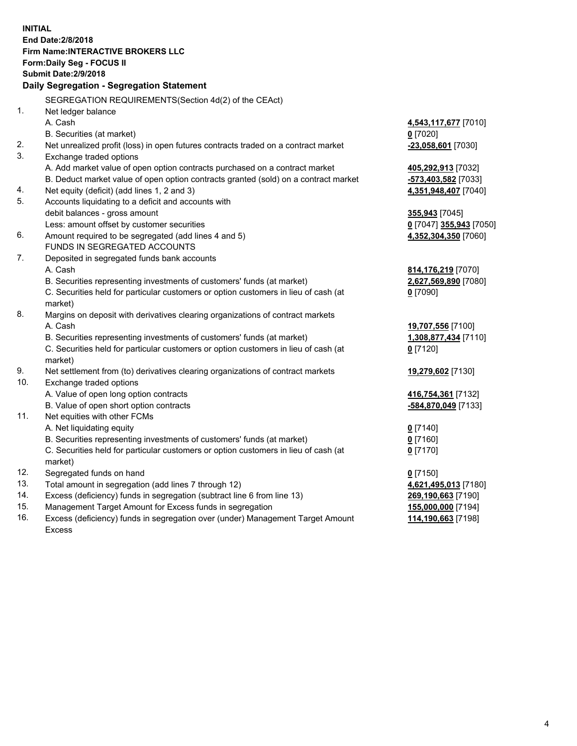**INITIAL End Date:2/8/2018 Firm Name:INTERACTIVE BROKERS LLC Form:Daily Seg - FOCUS II Submit Date:2/9/2018 Daily Segregation - Segregation Statement** SEGREGATION REQUIREMENTS(Section 4d(2) of the CEAct) 1. Net ledger balance A. Cash **4,543,117,677** [7010] B. Securities (at market) **0** [7020] 2. Net unrealized profit (loss) in open futures contracts traded on a contract market **-23,058,601** [7030] 3. Exchange traded options A. Add market value of open option contracts purchased on a contract market **405,292,913** [7032] B. Deduct market value of open option contracts granted (sold) on a contract market **-573,403,582** [7033] 4. Net equity (deficit) (add lines 1, 2 and 3) **4,351,948,407** [7040] 5. Accounts liquidating to a deficit and accounts with debit balances - gross amount **355,943** [7045] Less: amount offset by customer securities **0** [7047] **355,943** [7050] 6. Amount required to be segregated (add lines 4 and 5) **4,352,304,350** [7060] FUNDS IN SEGREGATED ACCOUNTS 7. Deposited in segregated funds bank accounts A. Cash **814,176,219** [7070] B. Securities representing investments of customers' funds (at market) **2,627,569,890** [7080] C. Securities held for particular customers or option customers in lieu of cash (at market) **0** [7090] 8. Margins on deposit with derivatives clearing organizations of contract markets A. Cash **19,707,556** [7100] B. Securities representing investments of customers' funds (at market) **1,308,877,434** [7110] C. Securities held for particular customers or option customers in lieu of cash (at market) **0** [7120] 9. Net settlement from (to) derivatives clearing organizations of contract markets **19,279,602** [7130] 10. Exchange traded options A. Value of open long option contracts **416,754,361** [7132] B. Value of open short option contracts **-584,870,049** [7133] 11. Net equities with other FCMs A. Net liquidating equity **0** [7140] B. Securities representing investments of customers' funds (at market) **0** [7160] C. Securities held for particular customers or option customers in lieu of cash (at market) **0** [7170] 12. Segregated funds on hand **0** [7150] 13. Total amount in segregation (add lines 7 through 12) **4,621,495,013** [7180] 14. Excess (deficiency) funds in segregation (subtract line 6 from line 13) **269,190,663** [7190] 15. Management Target Amount for Excess funds in segregation **155,000,000** [7194] **114,190,663** [7198]

16. Excess (deficiency) funds in segregation over (under) Management Target Amount Excess